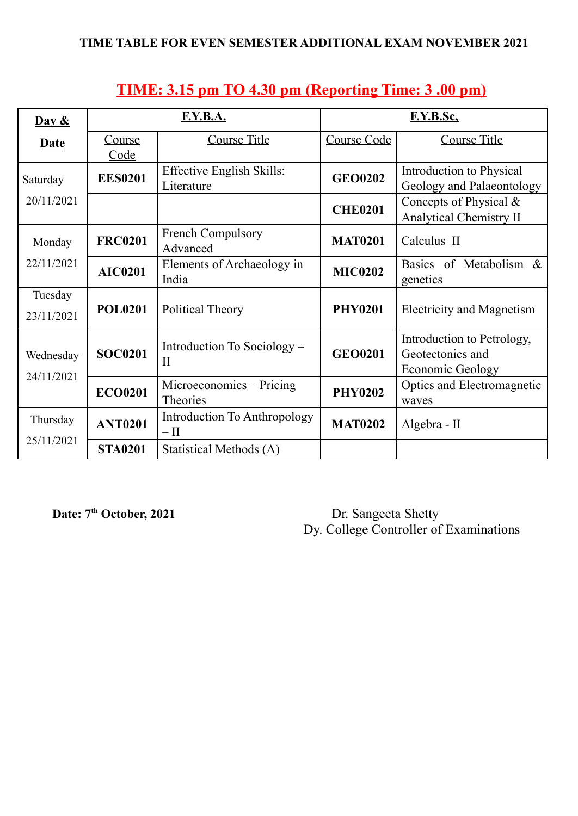| Day $\&$                     | F.Y.B.A.       |                                                     | F.Y.B.Sc.      |                                                                           |
|------------------------------|----------------|-----------------------------------------------------|----------------|---------------------------------------------------------------------------|
| <b>Date</b>                  | Course<br>Code | <b>Course Title</b>                                 | Course Code    | <b>Course Title</b>                                                       |
| Saturday                     | <b>EES0201</b> | <b>Effective English Skills:</b><br>Literature      | <b>GEO0202</b> | Introduction to Physical<br>Geology and Palaeontology                     |
| 20/11/2021                   |                |                                                     | <b>CHE0201</b> | Concepts of Physical $\&$<br><b>Analytical Chemistry II</b>               |
| Monday                       | <b>FRC0201</b> | <b>French Compulsory</b><br>Advanced                | <b>MAT0201</b> | Calculus II                                                               |
| 22/11/2021<br><b>AIC0201</b> |                | Elements of Archaeology in<br>India                 | <b>MIC0202</b> | Basics of Metabolism &<br>genetics                                        |
| Tuesday<br>23/11/2021        | <b>POL0201</b> | Political Theory                                    | <b>PHY0201</b> | <b>Electricity and Magnetism</b>                                          |
| Wednesday<br>24/11/2021      | <b>SOC0201</b> | Introduction To Sociology –<br>$\mathbf{I}$         | <b>GEO0201</b> | Introduction to Petrology,<br>Geotectonics and<br><b>Economic Geology</b> |
|                              | <b>ECO0201</b> | Microeconomics – Pricing<br>Theories                | <b>PHY0202</b> | Optics and Electromagnetic<br>waves                                       |
| Thursday                     | <b>ANT0201</b> | <b>Introduction To Anthropology</b><br>$-\text{II}$ | <b>MAT0202</b> | Algebra - II                                                              |
| 25/11/2021                   | <b>STA0201</b> | Statistical Methods (A)                             |                |                                                                           |

## **TIME: 3.15 pm TO 4.30 pm (Reporting Time: 3 .00 pm)**

Date: 7<sup>th</sup> October, 2021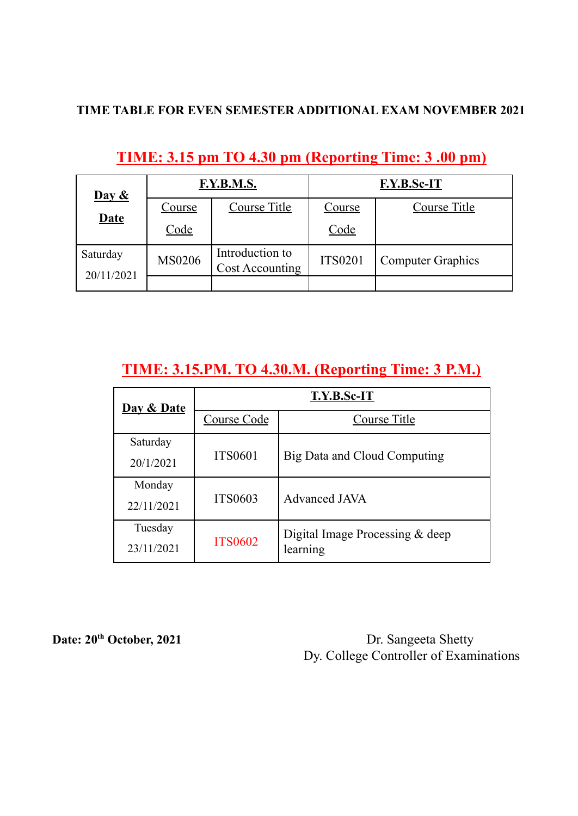| $\frac{\mathbf{Day} \& }{\mathbf{X}}$<br><b>Date</b> | F.Y.B.M.S.    |                                    | F.Y.B.Sc-IT    |                          |
|------------------------------------------------------|---------------|------------------------------------|----------------|--------------------------|
|                                                      | <b>Course</b> | Course Title                       | Course         | Course Title             |
|                                                      | Code          |                                    | Code           |                          |
| Saturday<br>20/11/2021                               | <b>MS0206</b> | Introduction to<br>Cost Accounting | <b>ITS0201</b> | <b>Computer Graphics</b> |
|                                                      |               |                                    |                |                          |

## **TIME: 3.15 pm TO 4.30 pm (Reporting Time: 3 .00 pm)**

# **TIME: 3.15.PM. TO 4.30.M. (Reporting Time: 3 P.M.)**

| Day & Date | <b>T.Y.B.Sc-IT</b> |                                   |  |
|------------|--------------------|-----------------------------------|--|
|            | Course Code        | <b>Course Title</b>               |  |
| Saturday   |                    |                                   |  |
| 20/1/2021  | <b>ITS0601</b>     | Big Data and Cloud Computing      |  |
| Monday     |                    |                                   |  |
| 22/11/2021 | <b>ITS0603</b>     | <b>Advanced JAVA</b>              |  |
| Tuesday    |                    | Digital Image Processing $&$ deep |  |
| 23/11/2021 | <b>ITS0602</b>     | learning                          |  |

**Date: 20**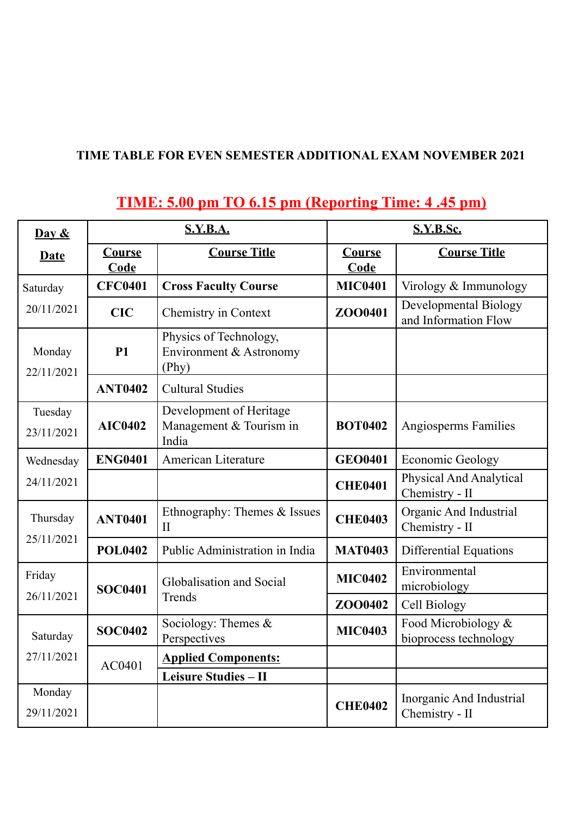# **TIME: 5.00 pm TO 6.15 pm (Reporting Time: 4 .45 pm)**

| Day $\&$               | <b>S.Y.B.A.</b>       |                                                             | <b>S.Y.B.Sc.</b>      |                                                  |
|------------------------|-----------------------|-------------------------------------------------------------|-----------------------|--------------------------------------------------|
| <b>Date</b>            | <b>Course</b><br>Code | <b>Course Title</b>                                         | Course<br><b>Code</b> | <b>Course Title</b>                              |
| Saturday               | <b>CFC0401</b>        | <b>Cross Faculty Course</b>                                 | <b>MIC0401</b>        | Virology & Immunology                            |
| 20/11/2021             | <b>CIC</b>            | Chemistry in Context                                        | ZO00401               | Developmental Biology<br>and Information Flow    |
| Monday<br>22/11/2021   | <b>P1</b>             | Physics of Technology,<br>Environment & Astronomy<br>(Phy)  |                       |                                                  |
|                        | <b>ANT0402</b>        | <b>Cultural Studies</b>                                     |                       |                                                  |
| Tuesday<br>23/11/2021  | <b>AIC0402</b>        | Development of Heritage<br>Management & Tourism in<br>India | <b>BOT0402</b>        | Angiosperms Families                             |
| Wednesday              | <b>ENG0401</b>        | American Literature                                         | <b>GEO0401</b>        | <b>Economic Geology</b>                          |
| 24/11/2021             |                       |                                                             | <b>CHE0401</b>        | <b>Physical And Analytical</b><br>Chemistry - II |
| Thursday<br>25/11/2021 | <b>ANT0401</b>        | Ethnography: Themes & Issues<br>$\mathbf{I}$                | <b>CHE0403</b>        | Organic And Industrial<br>Chemistry - II         |
|                        | <b>POL0402</b>        | Public Administration in India                              | <b>MAT0403</b>        | <b>Differential Equations</b>                    |
| Friday                 | <b>SOC0401</b>        | Globalisation and Social                                    | <b>MIC0402</b>        | Environmental<br>microbiology                    |
| 26/11/2021             |                       | Trends                                                      | ZO00402               | Cell Biology                                     |
| Saturday<br>27/11/2021 | <b>SOC0402</b>        | Sociology: Themes &<br>Perspectives                         | <b>MIC0403</b>        | Food Microbiology &<br>bioprocess technology     |
|                        | AC0401                | <b>Applied Components:</b>                                  |                       |                                                  |
|                        |                       | Leisure Studies - II                                        |                       |                                                  |
| Monday<br>29/11/2021   |                       |                                                             | <b>CHE0402</b>        | Inorganic And Industrial<br>Chemistry - II       |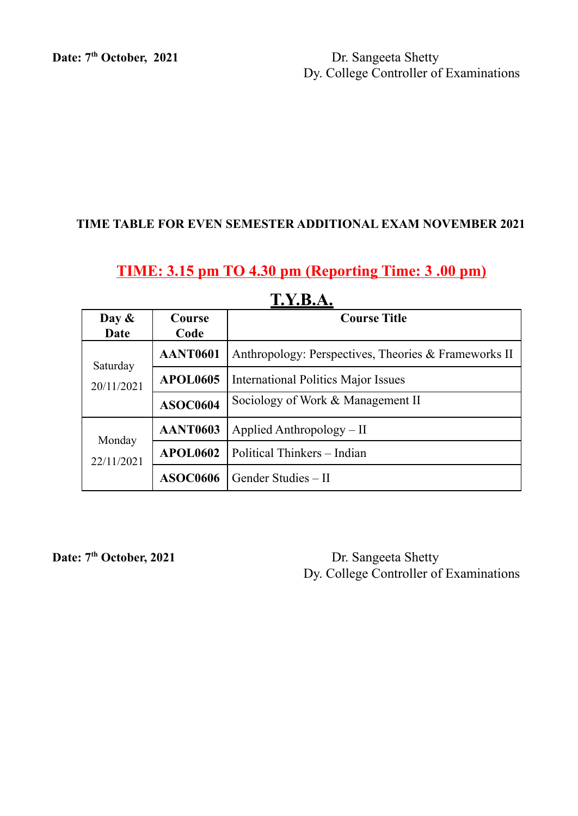Date: 7<sup>th</sup> October, 2021

**Dr.** Sangeeta Shetty Dy. College Controller of Examinations

#### **TIME TABLE FOR EVEN SEMESTER ADDITIONAL EXAM NOVEMBER 2021**

### **TIME: 3.15 pm TO 4.30 pm (Reporting Time: 3 .00 pm)**

| Day $\&$<br>Date       | <b>Course</b><br>Code | <b>Course Title</b>                                  |  |
|------------------------|-----------------------|------------------------------------------------------|--|
| Saturday<br>20/11/2021 | <b>AANT0601</b>       | Anthropology: Perspectives, Theories & Frameworks II |  |
|                        | <b>APOL0605</b>       | <b>International Politics Major Issues</b>           |  |
|                        | <b>ASOC0604</b>       | Sociology of Work & Management II                    |  |
| Monday<br>22/11/2021   | <b>AANT0603</b>       | Applied Anthropology $-$ II                          |  |
|                        | <b>APOL0602</b>       | Political Thinkers - Indian                          |  |
|                        | <b>ASOC0606</b>       | Gender Studies - II                                  |  |

### **T.Y.B.A.**

Date: 7<sup>th</sup> October, 2021